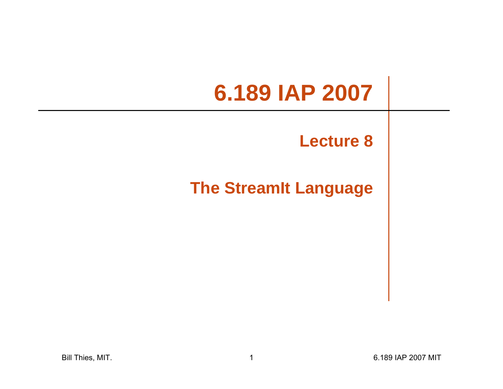# **6.189 IAP 2007**

### **Lecture 8**

### **The StreamIt Language**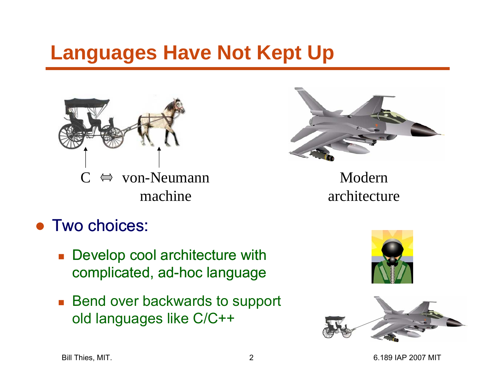# **Languages Have Not Kept Up**





Modernarchitecture

### ● Two choices:

- **Develop cool architecture with** complicated, ad-hoc language
- Bend over backwards to support old languages like C/C++



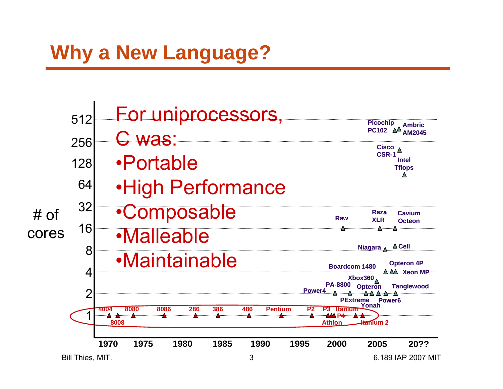# **Why a New Language?**

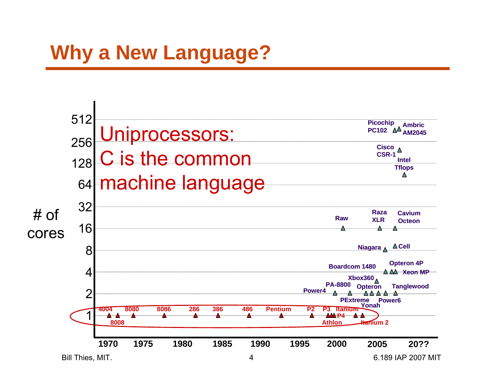# **Why a New Language?**

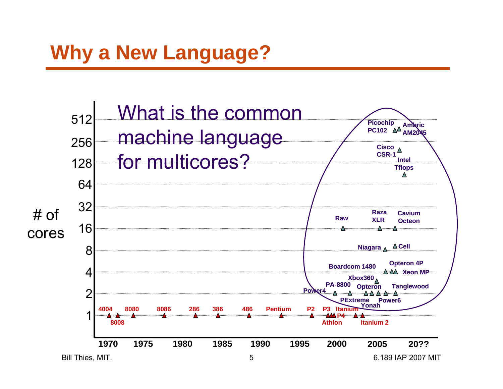# **Why a New Language?**

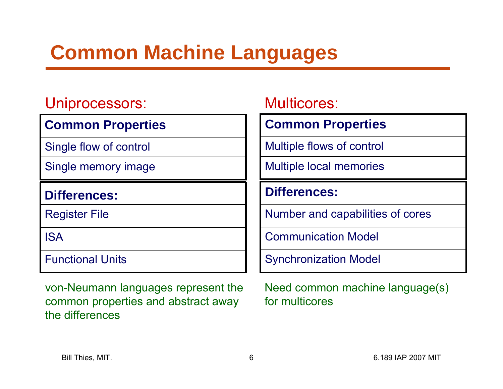# **Common Machine Languages**

#### Uniprocessors:

#### **Common Properties**

Single flow of control

Single memory image

#### **Differences:**

Register File

ISA

Functional Units

von-Neumann languages represent the common properties and abstract away the differences

#### Multicores:

#### **Common Properties**

Multiple flows of control

Multiple local memories

#### **Differences:**

Number and capabilities of cores

Communication Model

Synchronization Model

Need common machine language(s) for multicores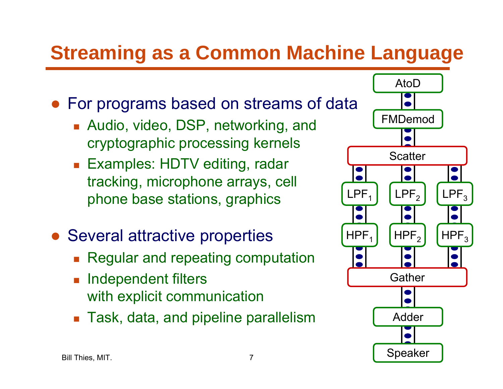# **Streaming as a Common Machine Language**

- For programs based on streams of data
	- Audio, video, DSP, networking, and cryptographic processing kernels
	- Examples: HDTV editing, radar tracking, microphone arrays, cell phone base stations, graphics
- Several attractive properties
	- П Regular and repeating computation
	- **Independent filters** with explicit communication
	- $\blacksquare$  Task, data, and pipeline parallelism  $\blacksquare$  Adder

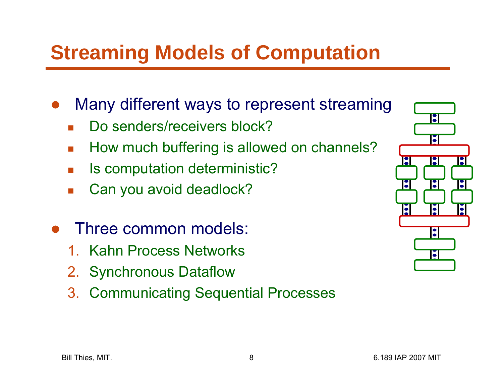# **Streaming Models of Computation**

- $\bullet$  Many different ways to represent streaming
	- П Do senders/receivers block?
	- П How much buffering is allowed on channels?
	- П Is computation deterministic?
	- П Can you avoid deadlock?
- ● Three common models:
	- 1. Kahn Process Networks
	- 2. Synchronous Dataflow
	- 3. Communicating Sequential Processes

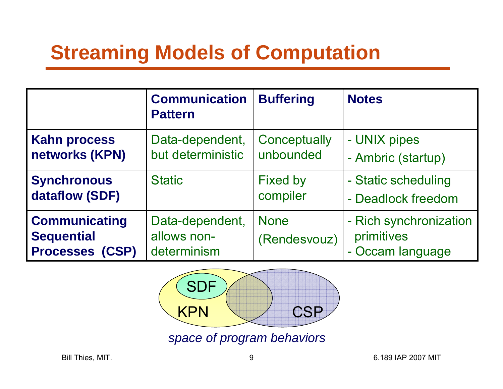# **Streaming Models of Computation**

|                                                                     | <b>Communication</b><br><b>Pattern</b>        | <b>Buffering</b>            | <b>Notes</b>                                             |
|---------------------------------------------------------------------|-----------------------------------------------|-----------------------------|----------------------------------------------------------|
| <b>Kahn process</b>                                                 | Data-dependent,                               | Conceptually                | - UNIX pipes                                             |
| networks (KPN)                                                      | but deterministic                             | unbounded                   | - Ambric (startup)                                       |
| <b>Synchronous</b>                                                  | <b>Static</b>                                 | <b>Fixed by</b>             | - Static scheduling                                      |
| dataflow (SDF)                                                      |                                               | compiler                    | - Deadlock freedom                                       |
| <b>Communicating</b><br><b>Sequential</b><br><b>Processes (CSP)</b> | Data-dependent,<br>allows non-<br>determinism | <b>None</b><br>(Rendesvouz) | - Rich synchronization<br>primitives<br>- Occam language |



*space of program behaviors*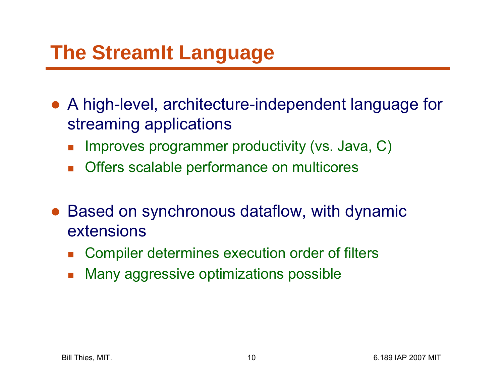# **The StreamIt Language**

- $\bullet$  A high-level, architecture-independent language for streaming applications
	- П Improves programmer productivity (vs. Java, C)
	- $\mathcal{C}^{\mathcal{A}}$ Offers scalable performance on multicores
- $\bullet$  Based on synchronous dataflow, with dynamic extensions
	- П Compiler determines execution order of filters
	- П Many aggressive optimizations possible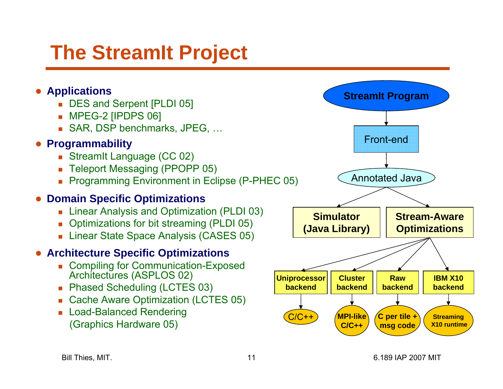# **The StreamIt Project**

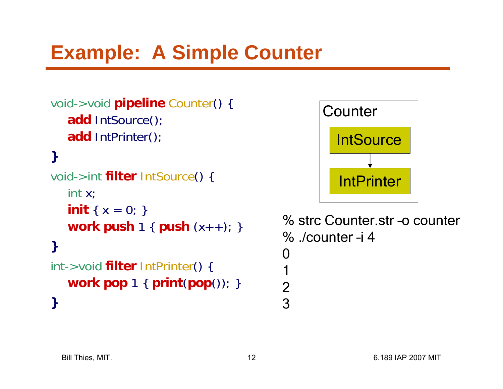# **Example: A Simple Counter**

```
void->void pipeline Counter() {
   add IntSource();
   add IntPrinter();
```

```
void->int filter IntSource() {
   int x;
   init { x = 0; }
   work push 1 { push (x++); }
}
```

```
int->void filter IntPrinter() {
  work pop 1 { print(pop()); }
}
```


```
% strc Counter.str –o counter% ./counter –i 40
123
```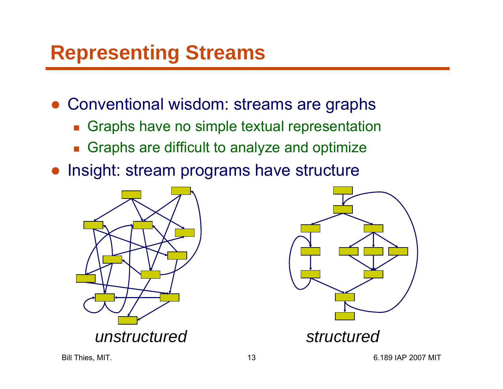# **Representing Streams**

● Conventional wisdom: streams are graphs

- $\mathcal{L}_{\mathcal{A}}$ Graphs have no simple textual representation
- **Graphs are difficult to analyze and optimize**
- Insight: stream programs have structure



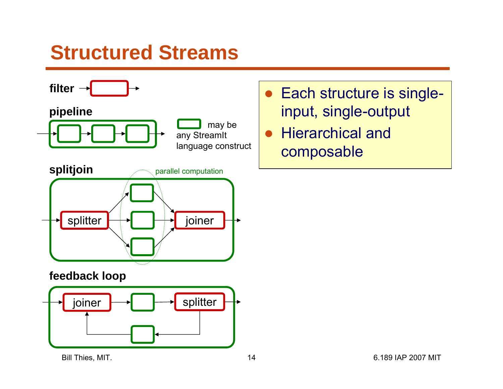### **Structured Streams**



#### **feedback loop**



- ● Each structure is singleinput, single-output
- ● Hierarchical and composable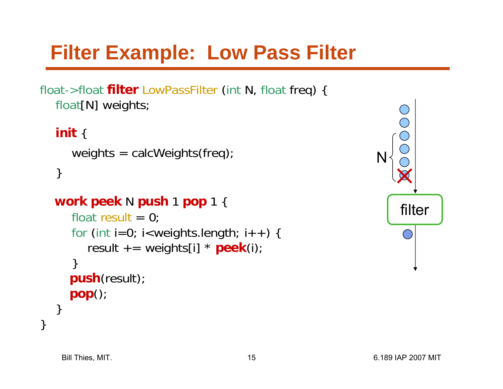# **Filter Example: Low Pass Filter**

float->float **filter** LowPassFilter (int N, float freq) { float[N] weights;

```
init 
{
  weights = calWeights(freq);
}
```

```
work peek N push 
1 pop 1 {
```

```
float result = 0;
   for
(int i=0; i<weights.length; i++) {
     result += weights[i] * peek(i);
   }
  push(result);
  pop();
}
```
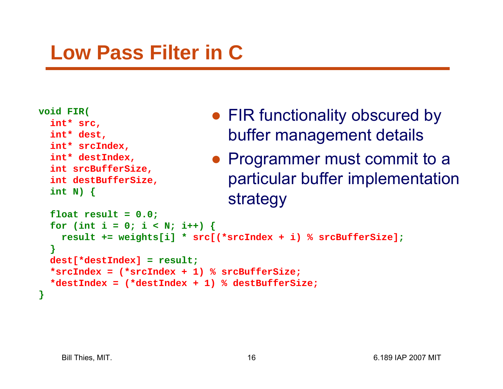# **Low Pass Filter in C**

```
void FIR(
  int* src, 
  int* dest, 
  int* srcIndex, 
  int* destIndex, 
  int srcBufferSize,
```

```
int destBufferSize,
int N) \{
```
- FIR functionality obscured by buffer management details
- Programmer must commit to a particular buffer implementation strategy

```
float result = 0.0;
for (int i = 0; i < N; i++) {
 result += weights[i] * src[(*srcIndex + i) % srcBufferSize];
}
dest[*destIndex] = result;
*srcIndex = (*srcIndex + 1) % srcBufferSize;
*destIndex = (*destIndex + 1) % destBufferSize;
```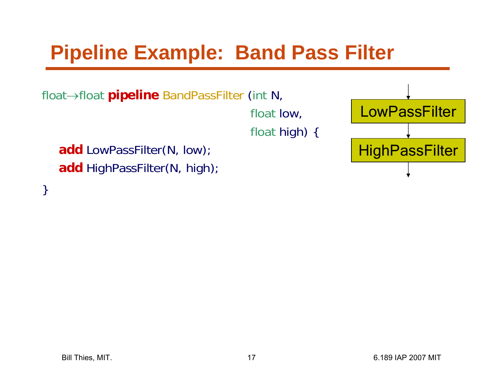# **Pipeline Example: Band Pass Filter**

float→float **pipeline** BandPassFilter (int N,

float low, float high) {

**add** LowPassFilter(N, low); **add** HighPassFilter(N, high);

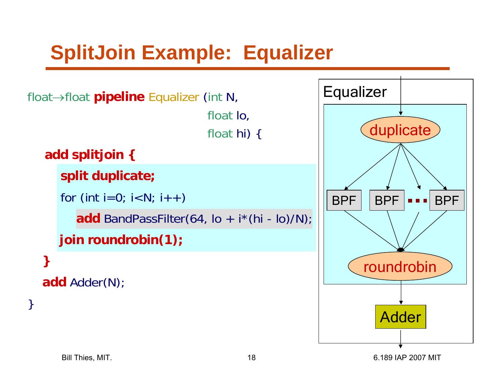# **SplitJoin Example: Equalizer**

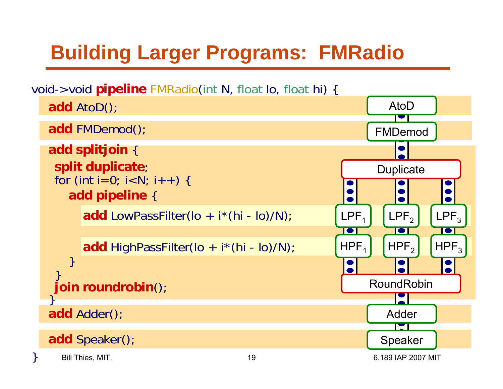# **Building Larger Programs: FMRadio**

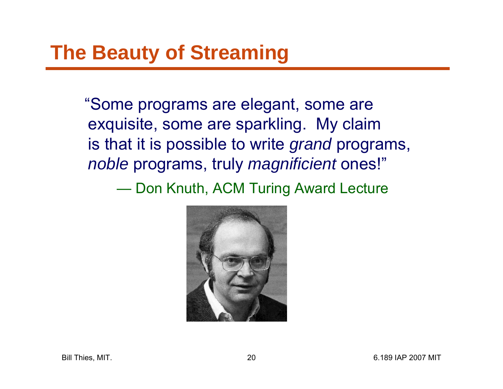"Some programs are elegant, some are exquisite, some are sparkling. My claim is that it is possible to write *grand* programs, *noble* programs, truly *magnificient* ones!" Don Knuth, ACM Turing Award Lecture

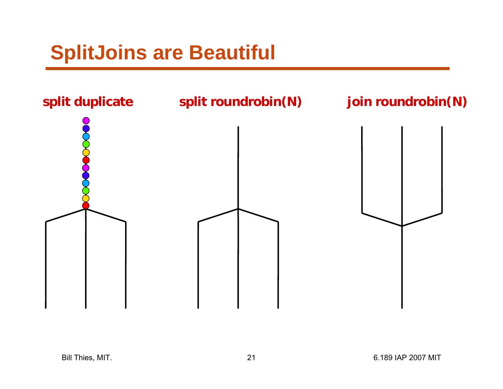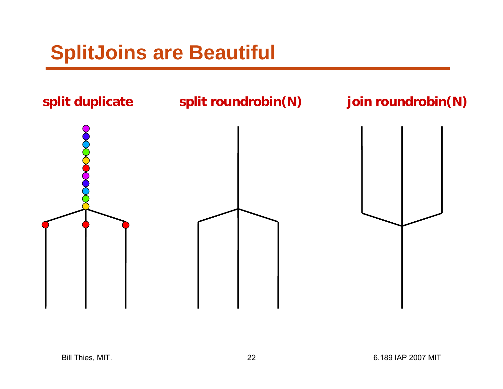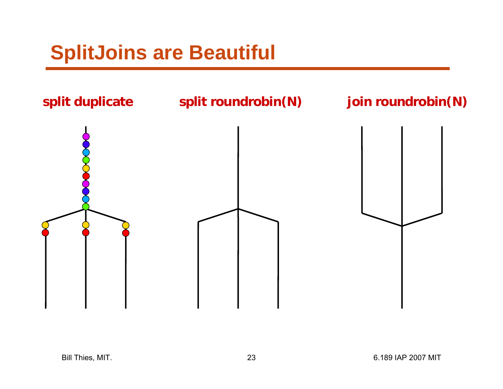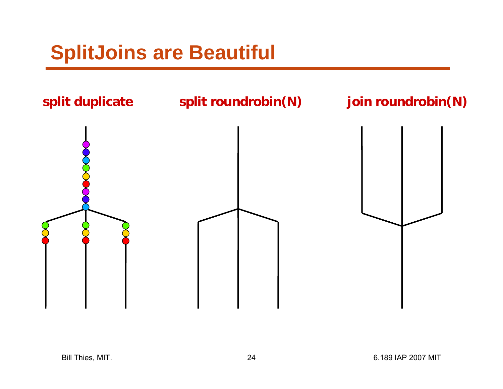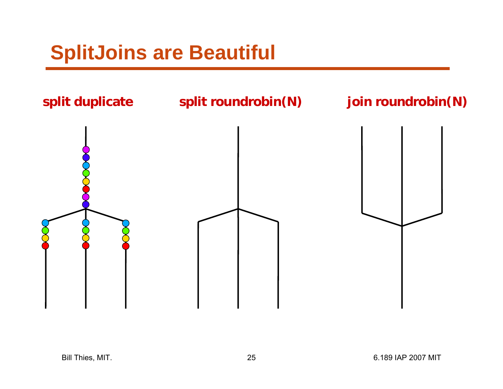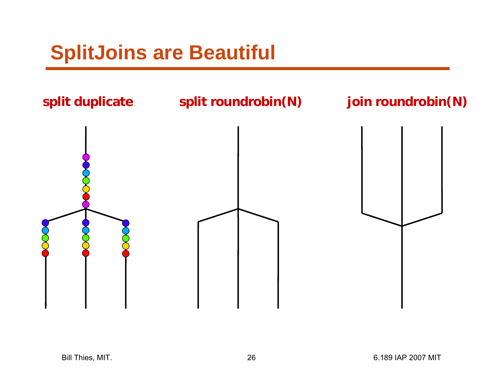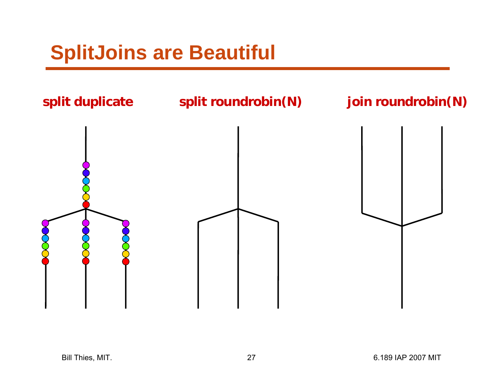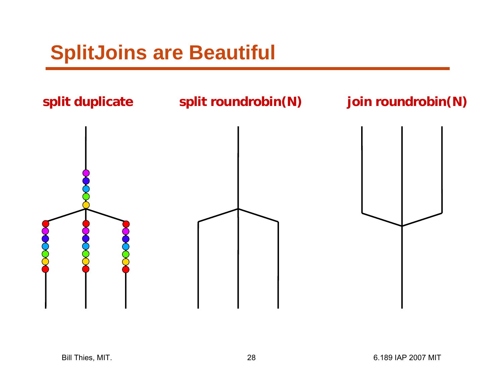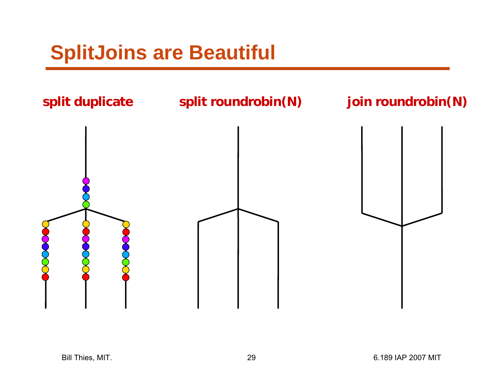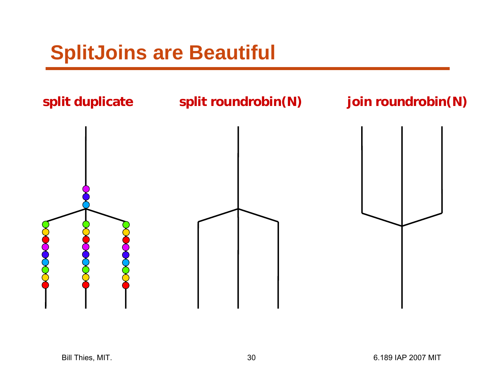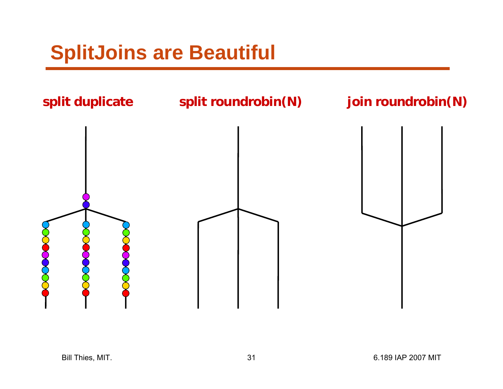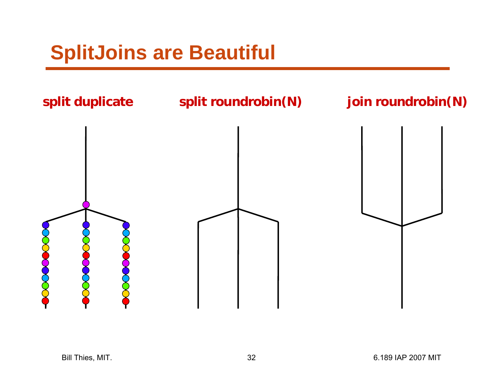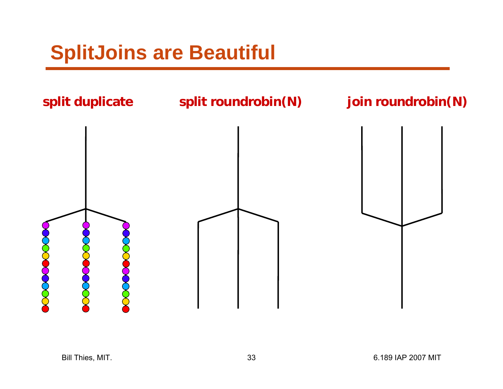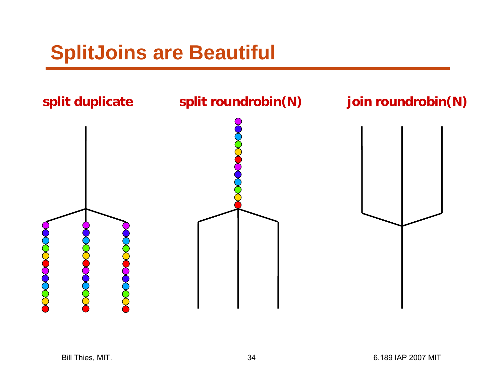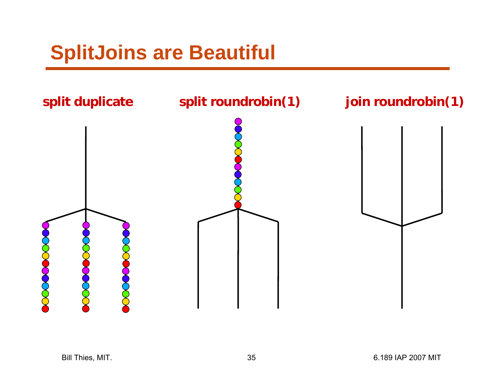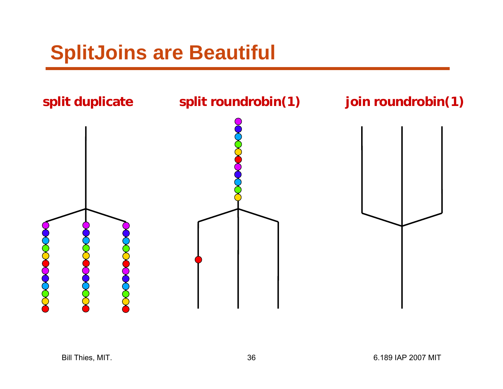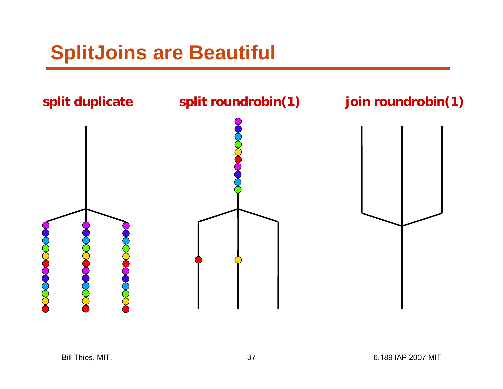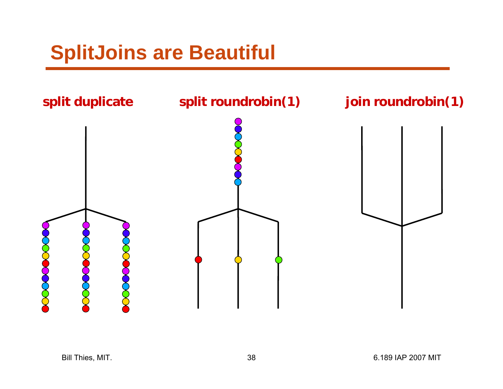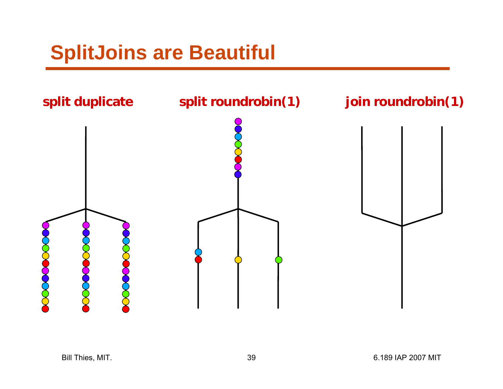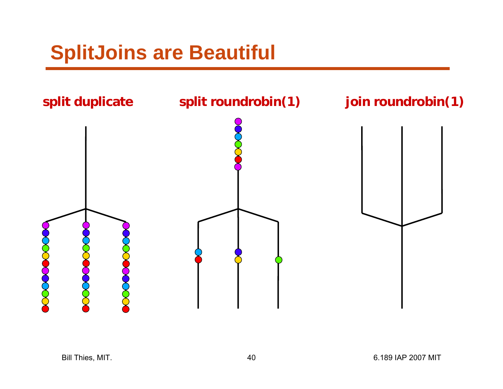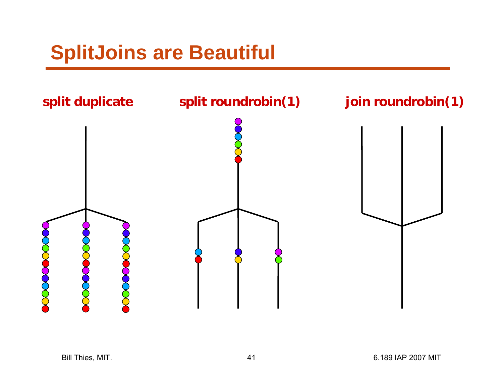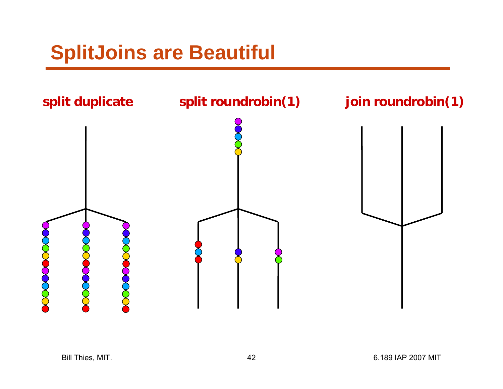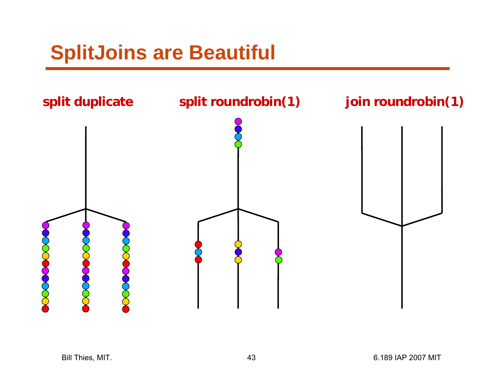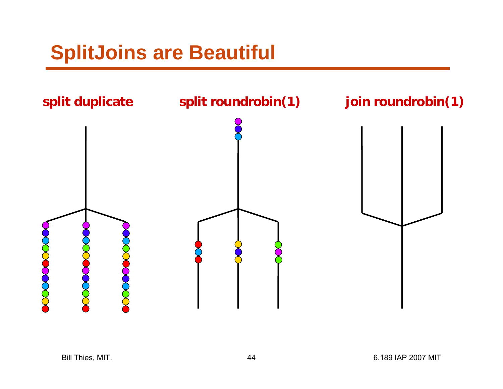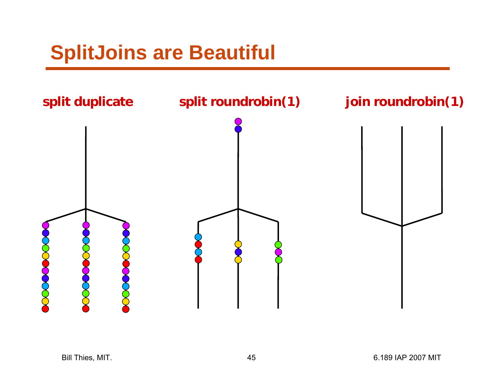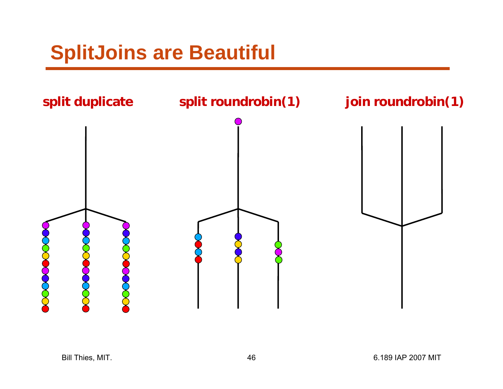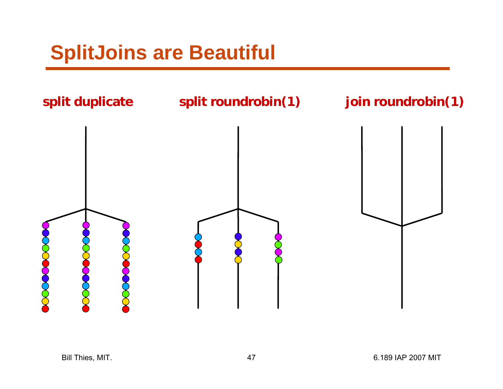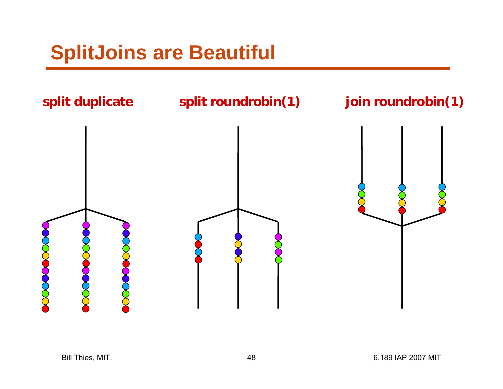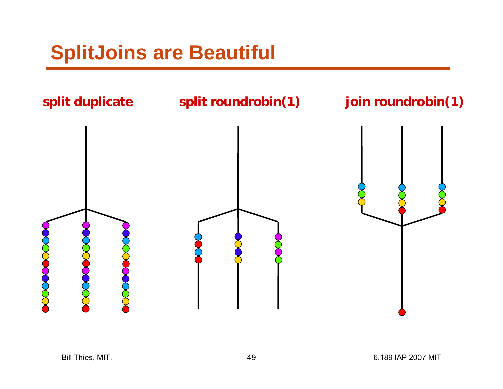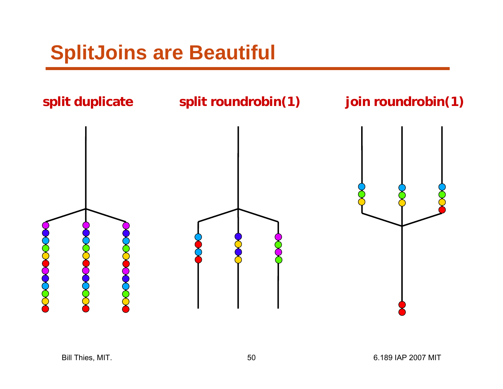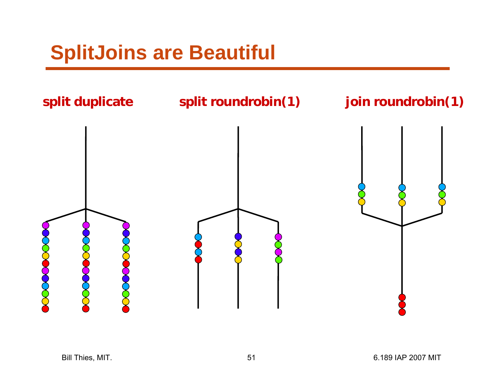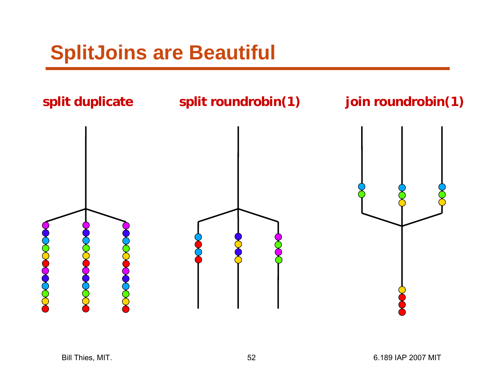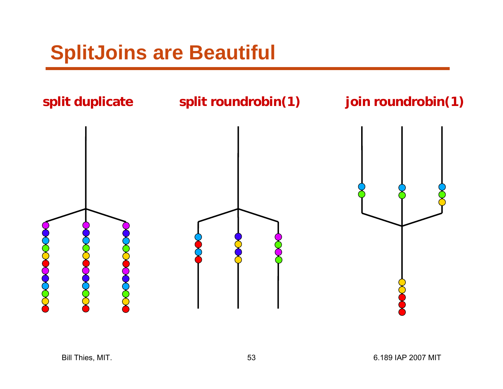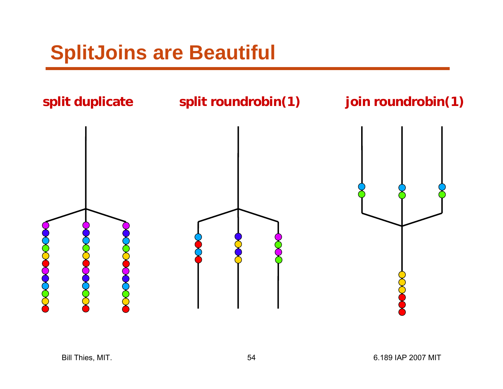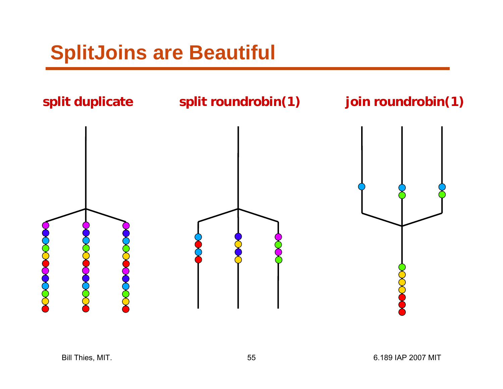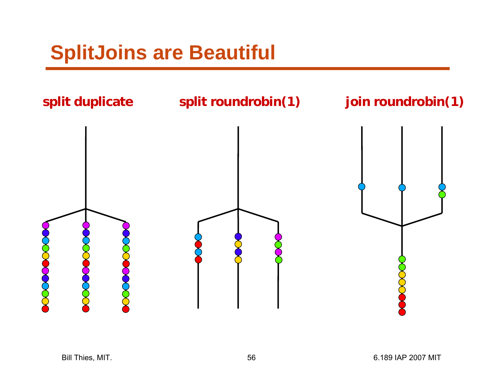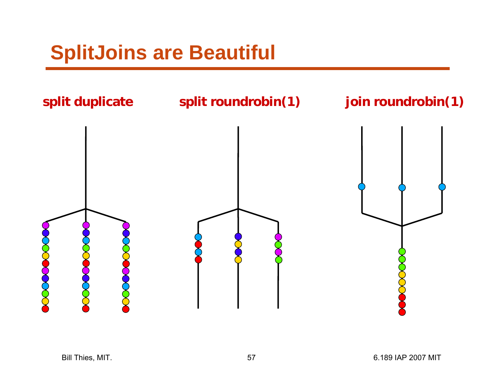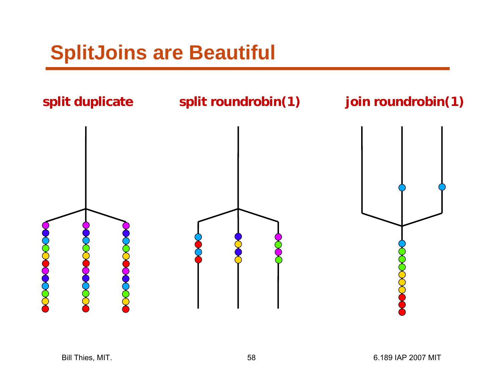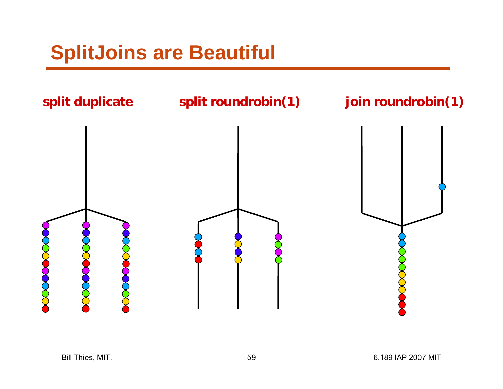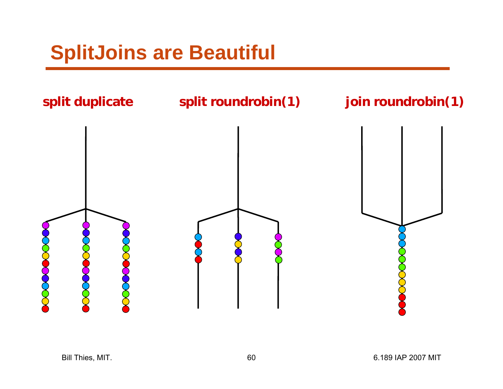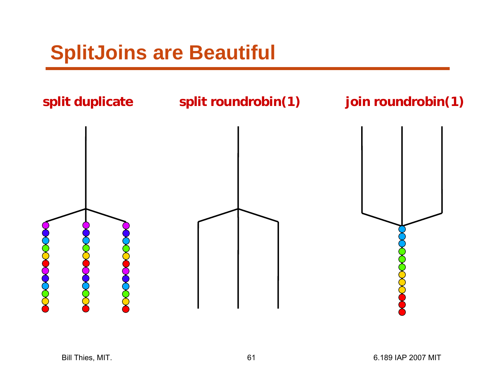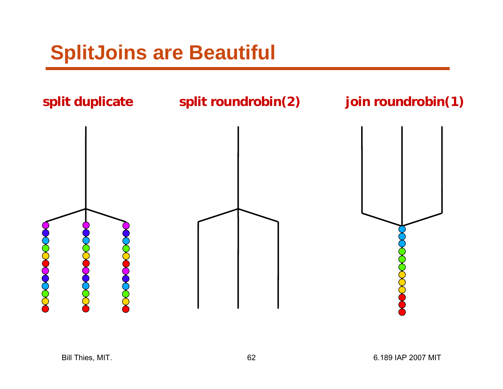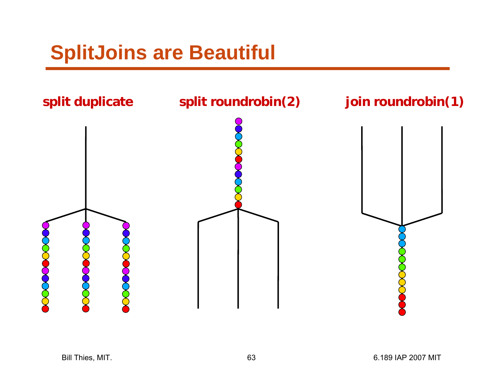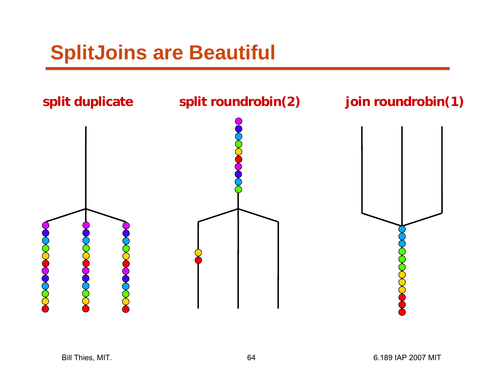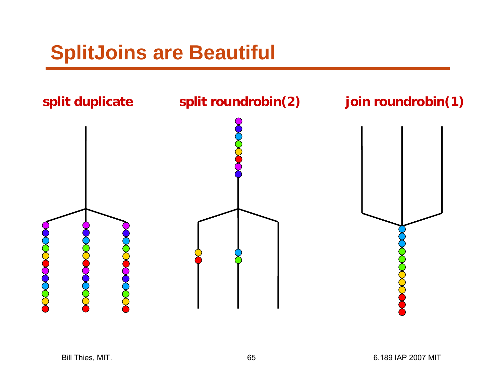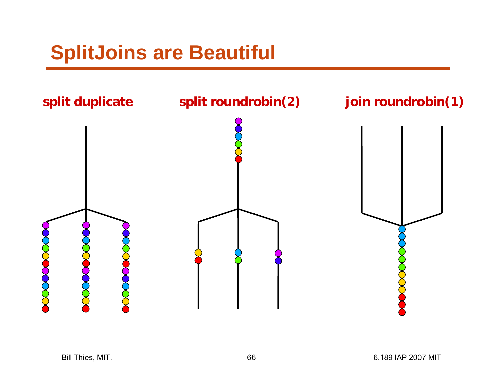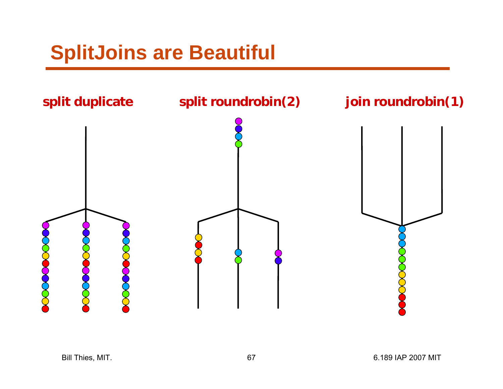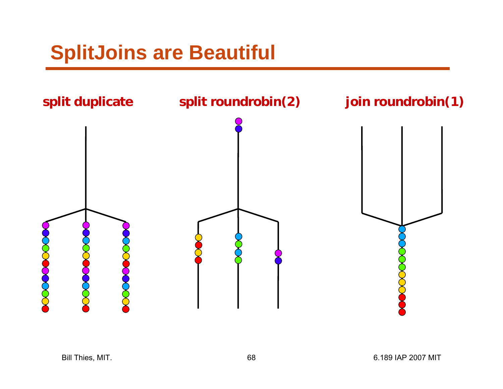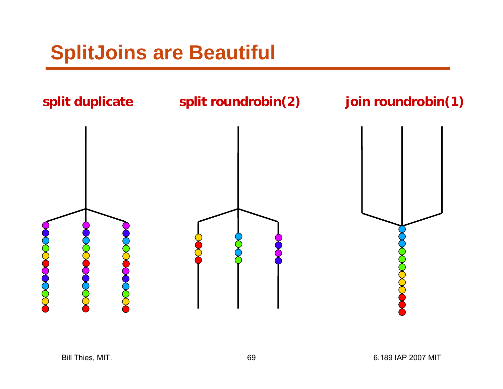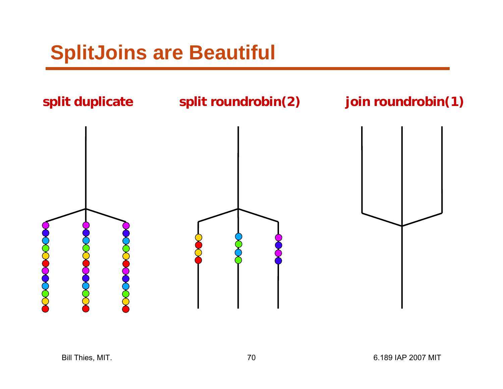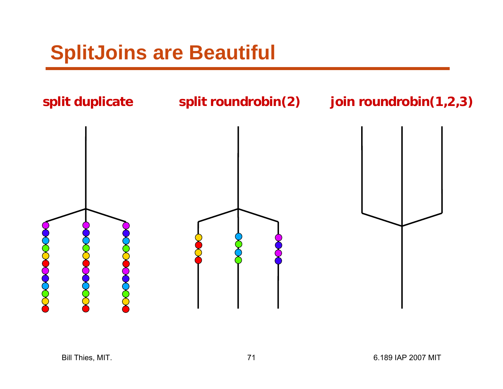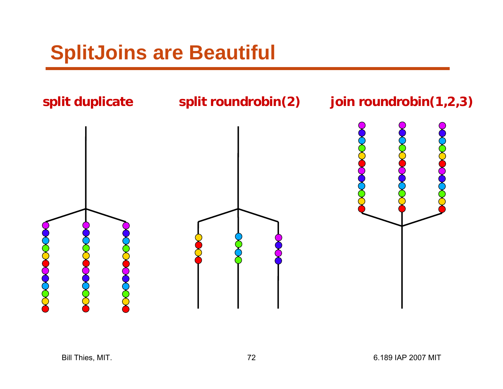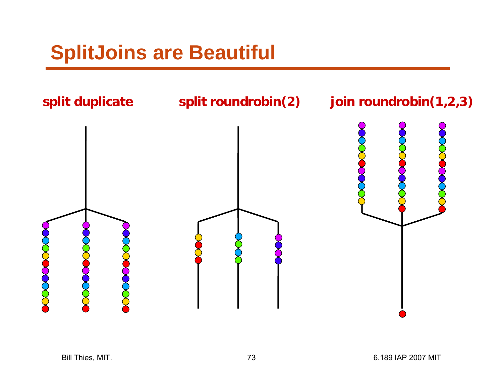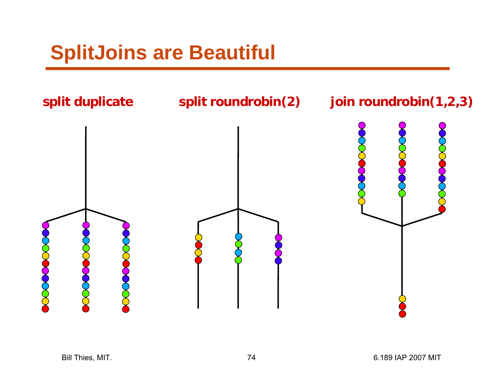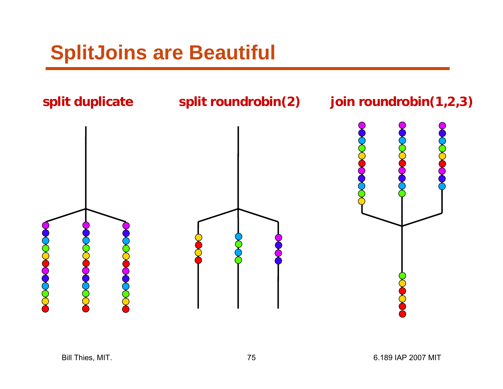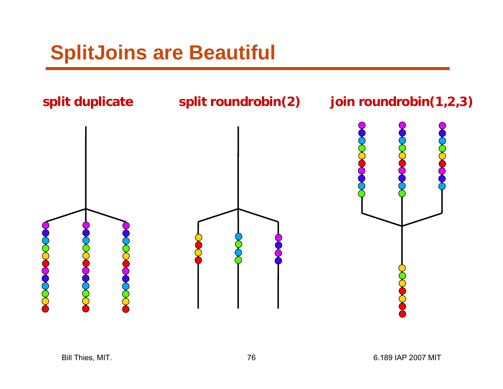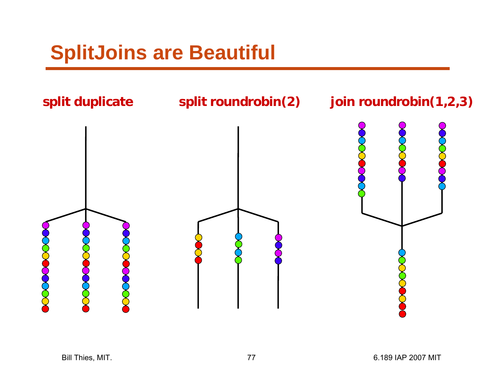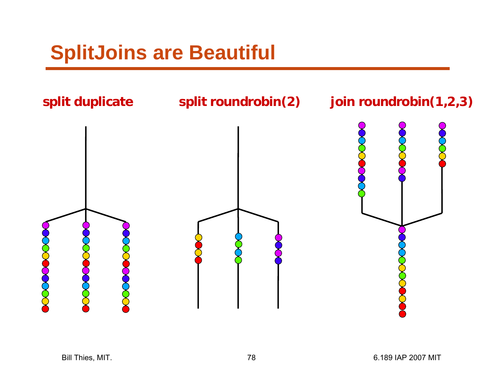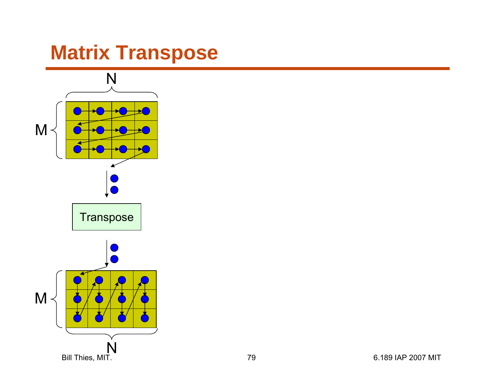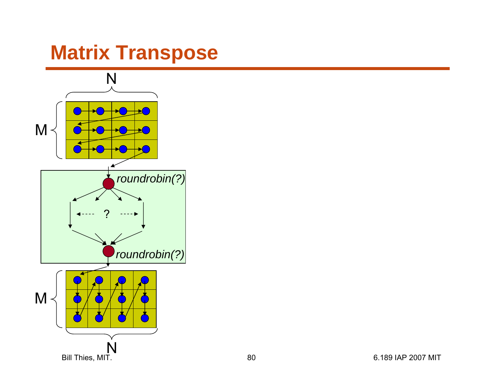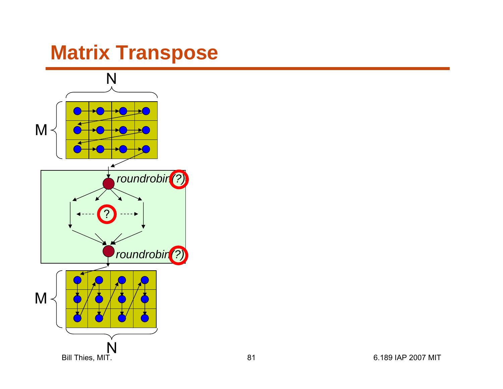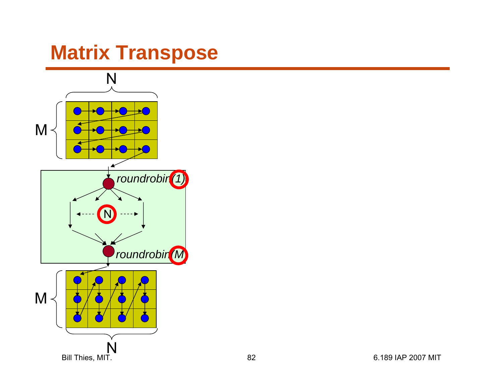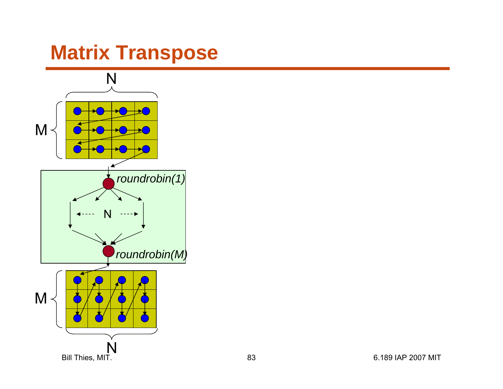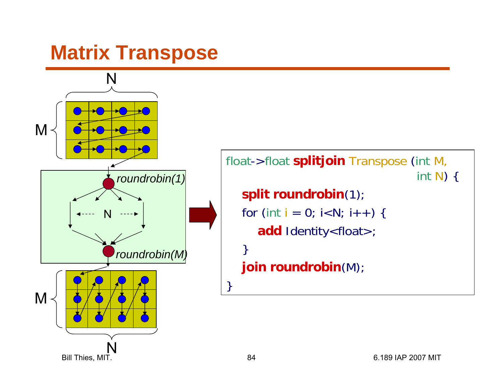

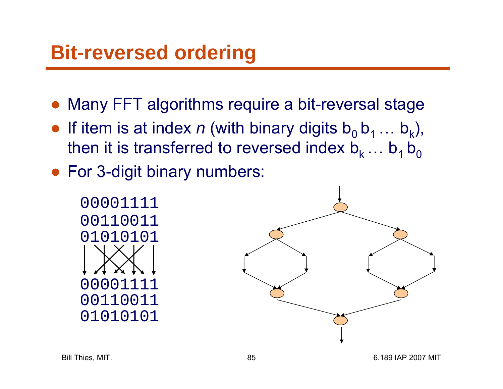- ●Many FFT algorithms require a bit-reversal stage
- If item is at index *n* (with binary digits  $b_0$   $b_1$  ...  $b_k$ ), then it is transferred to reversed index  $\mathsf{b}_\mathsf{k} \dots \mathsf{b}_\mathsf{1} \, \mathsf{b}_\mathsf{0}$
- For 3-digit binary numbers:



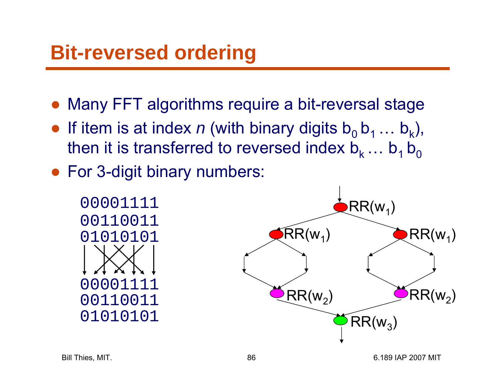- ●Many FFT algorithms require a bit-reversal stage
- If item is at index *n* (with binary digits  $b_0$   $b_1$  ...  $b_k$ ), then it is transferred to reversed index  $\mathsf{b}_\mathsf{k} \dots \mathsf{b}_\mathsf{1} \, \mathsf{b}_\mathsf{0}$
- For 3-digit binary numbers:

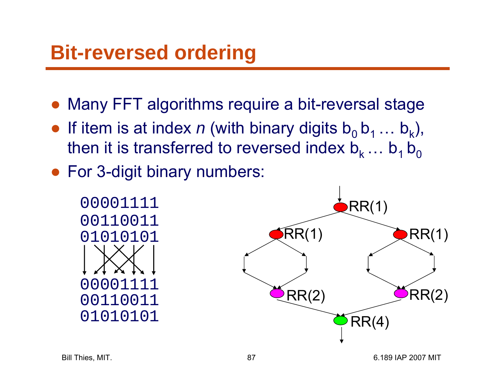- ●Many FFT algorithms require a bit-reversal stage
- If item is at index *n* (with binary digits  $b_0$   $b_1$  ...  $b_k$ ), then it is transferred to reversed index  $\mathsf{b}_\mathsf{k} \dots \mathsf{b}_\mathsf{1} \, \mathsf{b}_\mathsf{0}$
- For 3-digit binary numbers:

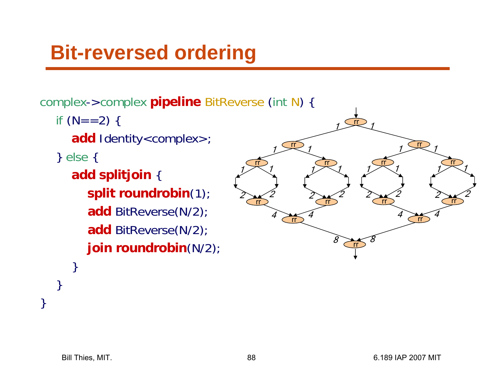complex->complex **pipeline** BitReverse (int N) {

if (N==2) {

**add** Identity<complex>;

} else {

}

}

}

**add splitjoin** { **split roundrobin**(1); **add** BitReverse(N/2); **add** BitReverse(N/2); **join roundrobin**(N/2);

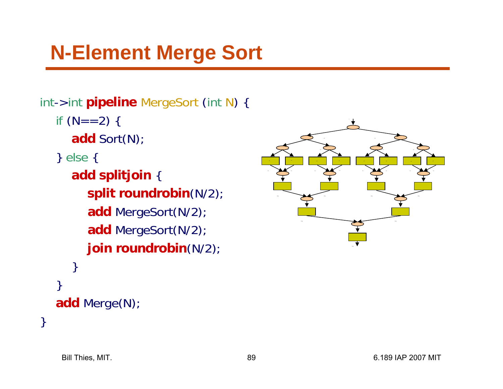## **N-Element Merge Sort**

```
int->int pipeline MergeSort
(int
N) {
  if (N==2) {
     add Sort(N);
  } else
{
     add splitjoin
{
        split roundrobin(N/2);
        add MergeSort(N/2);
        add MergeSort(N/2);
       join roundrobin(N/2);
     } 
  }
  add Merge(N);
```


}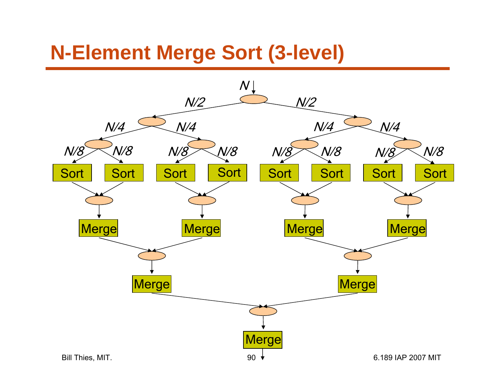#### **N-Element Merge Sort (3-level)**

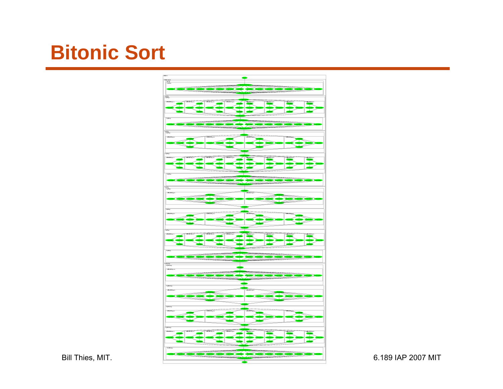#### **Bitonic Sort**

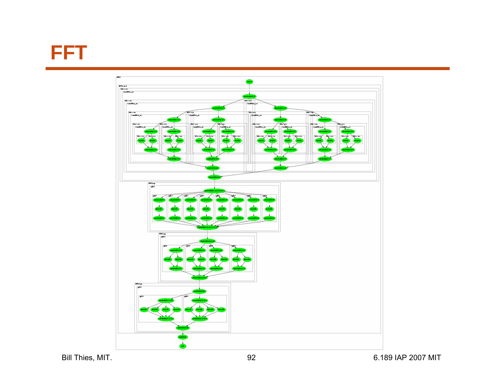**FFT**



Bill Thies, MIT. 92 6.189 IAP 2007 MIT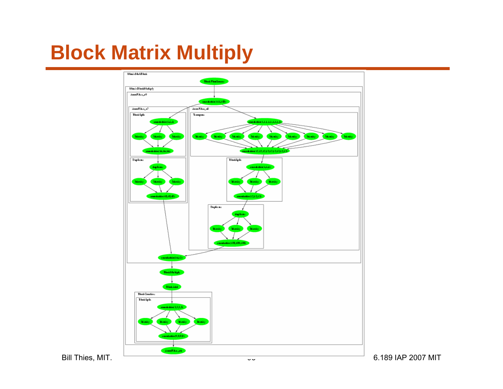# **Block Matrix Multiply**

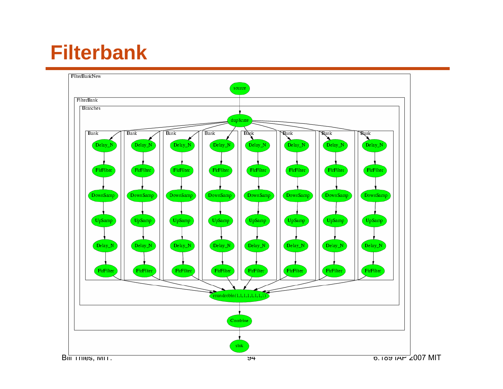## **Filterbank**

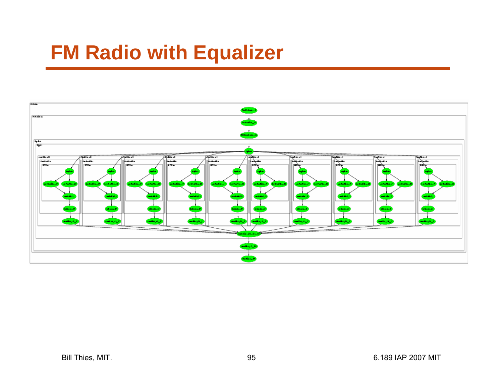## **FM Radio with Equalizer**

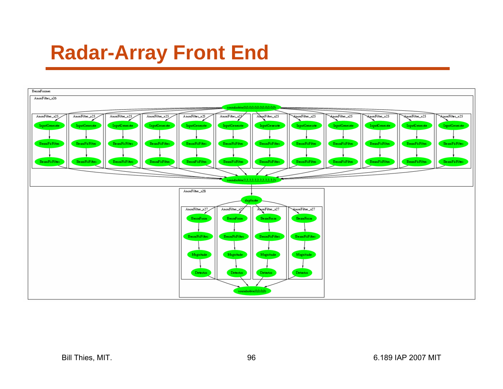#### **Radar-Array Front End**

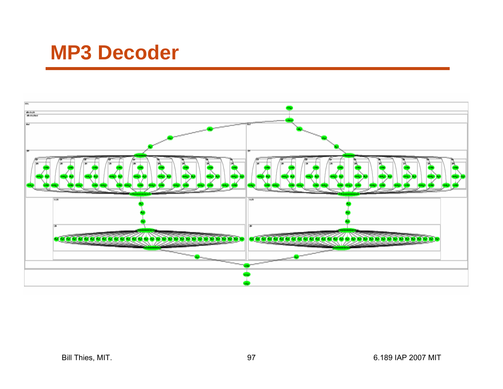#### **MP3 Decoder**

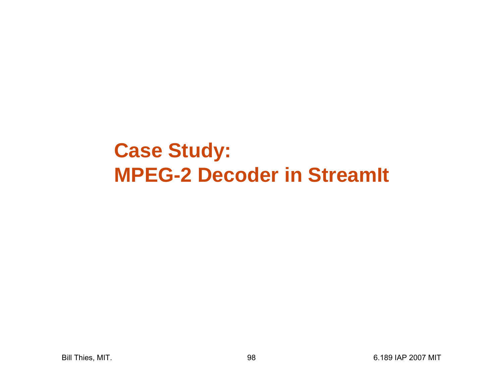#### **Case Study: MPEG-2 Decoder in StreamIt**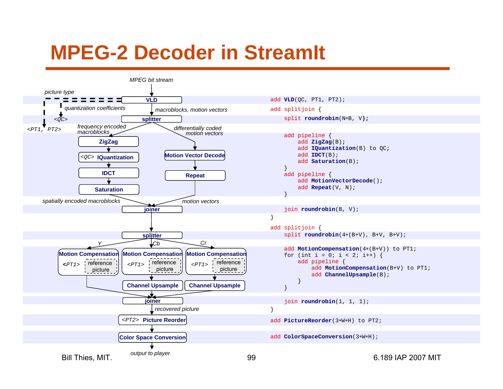#### **MPEG-2 Decoder in StreamIt**

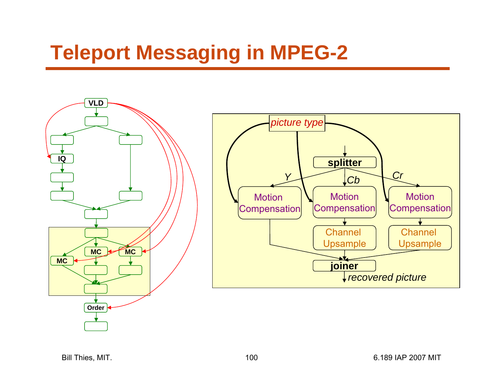## **Teleport Messaging in MPEG-2**

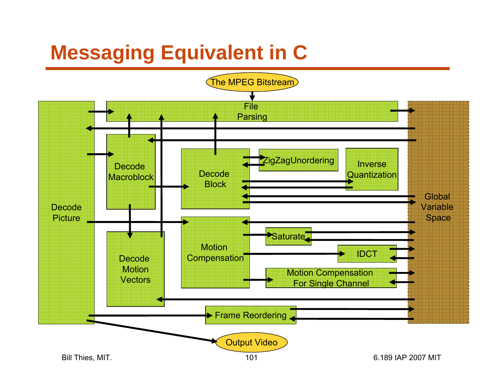# **Messaging Equivalent in C**

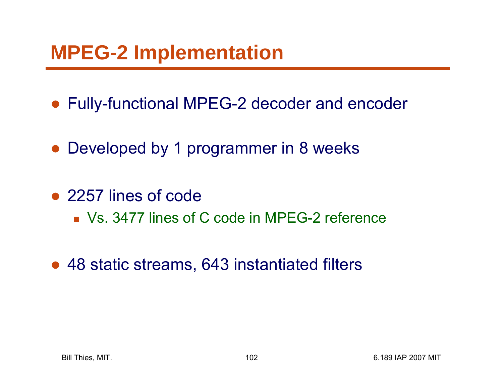### **MPEG-2 Implementation**

- Fully-functional MPEG-2 decoder and encoder
- ●Developed by 1 programmer in 8 weeks
- 2257 lines of code
	- Vs. 3477 lines of C code in MPEG-2 reference
- $\bullet$ 48 static streams, 643 instantiated filters